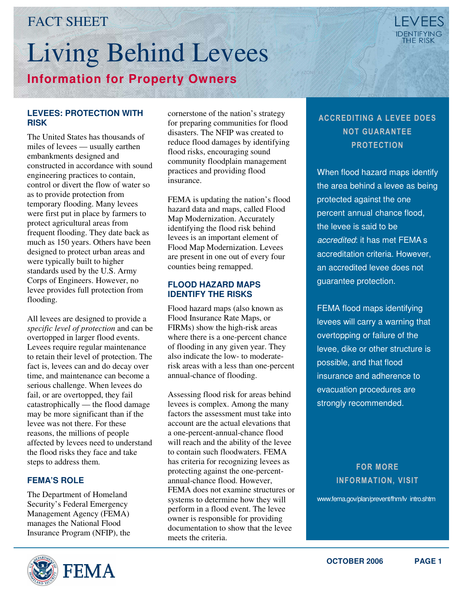# FACT SHEET

# Living Behind Levees **Information for Property Owners**

#### **LEVEES: PROTECTION WITH RISK**

The United States has thousands of miles of levees — usually earthen embankments designed and constructed in accordance with sound engineering practices to contain, control or divert the flow of water so as to provide protection from temporary flooding. Many levees were first put in place by farmers to protect agricultural areas from frequent flooding. They date back as much as 150 years. Others have been designed to protect urban areas and were typically built to higher standards used by the U.S. Army Corps of Engineers. However, no levee provides full protection from flooding.

All levees are designed to provide a *specific level of protection* and can be overtopped in larger flood events. Levees require regular maintenance to retain their level of protection. The fact is, levees can and do decay over time, and maintenance can become a serious challenge. When levees do fail, or are overtopped, they fail catastrophically — the flood damage may be more significant than if the levee was not there. For these reasons, the millions of people affected by levees need to understand the flood risks they face and take steps to address them.

#### **FEMA'S ROLE**

The Department of Homeland Security's Federal Emergency Management Agency (FEMA) manages the National Flood Insurance Program (NFIP), the



cornerstone of the nation's strategy for preparing communities for flood disasters. The NFIP was created to reduce flood damages by identifying flood risks, encouraging sound community floodplain management practices and providing flood insurance.

FEMA is updating the nation's flood hazard data and maps, called Flood Map Modernization. Accurately identifying the flood risk behind levees is an important element of Flood Map Modernization. Levees are present in one out of every four counties being remapped.

#### **FLOOD HAZARD MAPS IDENTIFY THE RISKS**

Flood hazard maps (also known as Flood Insurance Rate Maps, or FIRMs) show the high-risk areas where there is a one-percent chance of flooding in any given year. They also indicate the low- to moderaterisk areas with a less than one-percent annual-chance of flooding.

Assessing flood risk for areas behind levees is complex. Among the many factors the assessment must take into account are the actual elevations that a one-percent-annual-chance flood will reach and the ability of the levee to contain such floodwaters. FEMA has criteria for recognizing levees as protecting against the one-percentannual-chance flood. However, FEMA does not examine structures or systems to determine how they will perform in a flood event. The levee owner is responsible for providing documentation to show that the levee meets the criteria.

## ACCREDITING A LEVEE DOES NOT GUARANTEE PROTECTION

When flood hazard maps identify the area behind a levee as being protected against the one percent annual chance flood, the levee is said to be accredited: it has met FEMA s accreditation criteria. However, an accredited levee does not guarantee protection.

FEMA flood maps identifying levees will carry a warning that overtopping or failure of the levee, dike or other structure is possible, and that flood insurance and adherence to evacuation procedures are strongly recommended.

### FOR MORE INFORMATION, VISIT

[www.fema.gov/plan/prevent/fhm/lv \\_intro.shtm](http://www.fema.gov/plan/prevent/fhm/lv_intro.shtm)